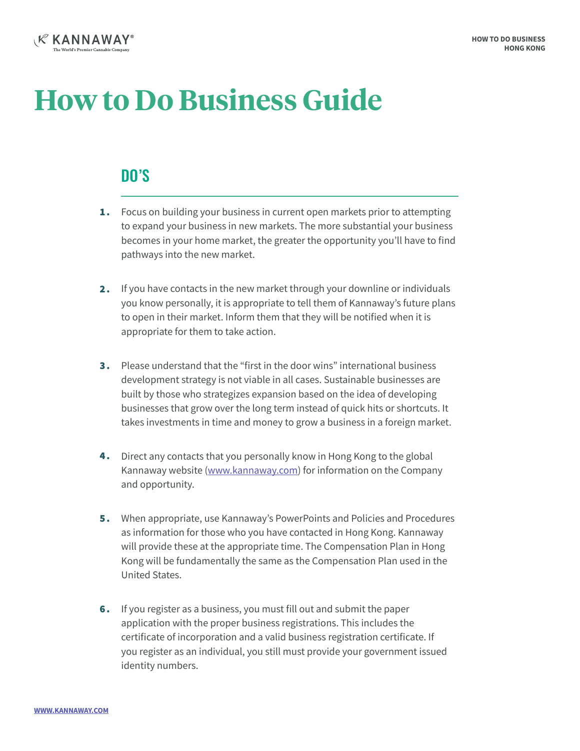

## **How to Do Business Guide**

## DO'S

- **1.** Focus on building your business in current open markets prior to attempting to expand your business in new markets. The more substantial your business becomes in your home market, the greater the opportunity you'll have to find pathways into the new market.
- If you have contacts in the new market through your downline or individuals you know personally, it is appropriate to tell them of Kannaway's future plans to open in their market. Inform them that they will be notified when it is appropriate for them to take action.  $2.$
- **3.** Please understand that the "first in the door wins" international business development strategy is not viable in all cases. Sustainable businesses are built by those who strategizes expansion based on the idea of developing businesses that grow over the long term instead of quick hits or shortcuts. It takes investments in time and money to grow a business in a foreign market.
- 4. Direct any contacts that you personally know in Hong Kong to the global Kannaway website (www.kannaway.com) for information on the Company and opportunity.
- **5.** When appropriate, use Kannaway's PowerPoints and Policies and Procedures as information for those who you have contacted in Hong Kong. Kannaway will provide these at the appropriate time. The Compensation Plan in Hong Kong will be fundamentally the same as the Compensation Plan used in the United States.
- **6.** If you register as a business, you must fill out and submit the paper application with the proper business registrations. This includes the certificate of incorporation and a valid business registration certificate. If you register as an individual, you still must provide your government issued identity numbers.